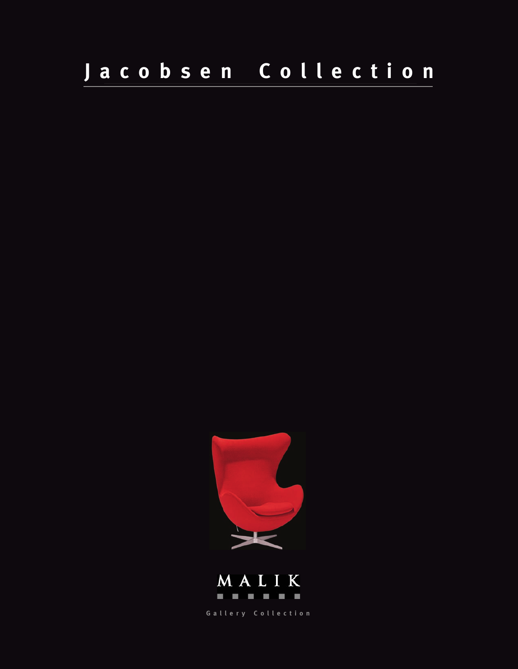# **Jacobsen Collection**





**Gallery Collection**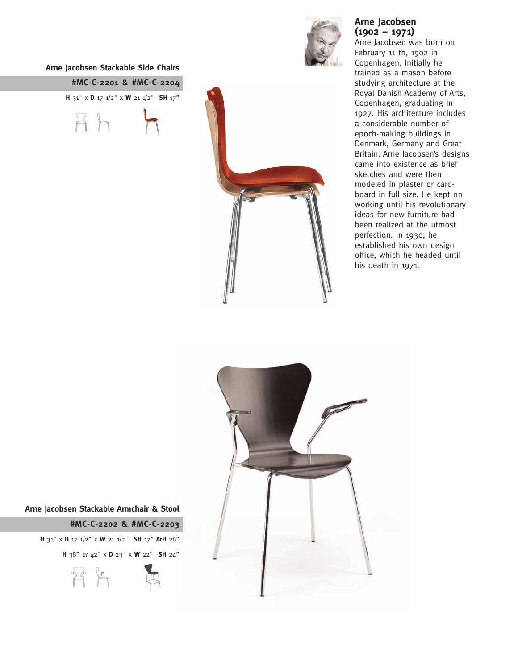#### **Arne Jacobsen Stackable Side Chairs**

**#MC-C-2201 & #MC-C-2204 H** 31" x **D** 17 1/2" x **W** 21 1/2" **SH** 17"  $A$ 



### **Arne Jacobsen (1902 – 1971)**

Arne Jacobsen was born on February 11 th, 1902 in Copenhagen. Initially he trained as a mason before studying architecture at the Royal Danish Academy of Arts, Copenhagen, graduating in 1927. His architecture includes a considerable number of epoch-making buildings in Denmark, Germany and Great Britain. Arne Jacobsen's designs came into existence as brief sketches and were then modeled in plaster or cardboard in full size. He kept on working until his revolutionary ideas for new furniture had been realized at the utmost perfection. In 1930, he established his own design office, which he headed until his death in 1971.



**Arne Jacobsen Stackable Armchair & Stool**

**#MC-C-2202 & #MC-C-2203 H** 31" x **D** 17 1/2" x **W** 21 1/2" **SH** 17" **ArH** 26" **H** 38" or 42" x **D** 23" x **W** 22" **SH** 24"  $Pf$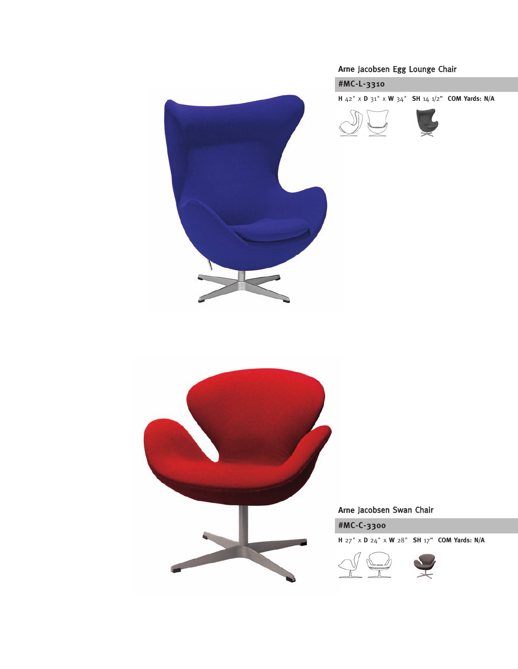

## **Arne** Jacobsen Egg Lounge Chair



**H** 42" x **D** 31" x **W** 34" **SH** 14 1/2" **COM Yards: N/A**



L



## **Arne** Jacobsen Swan Chair



**H** 27" x **D** 24" x **W** 28" **SH** 17" **COM Yards: N/A**